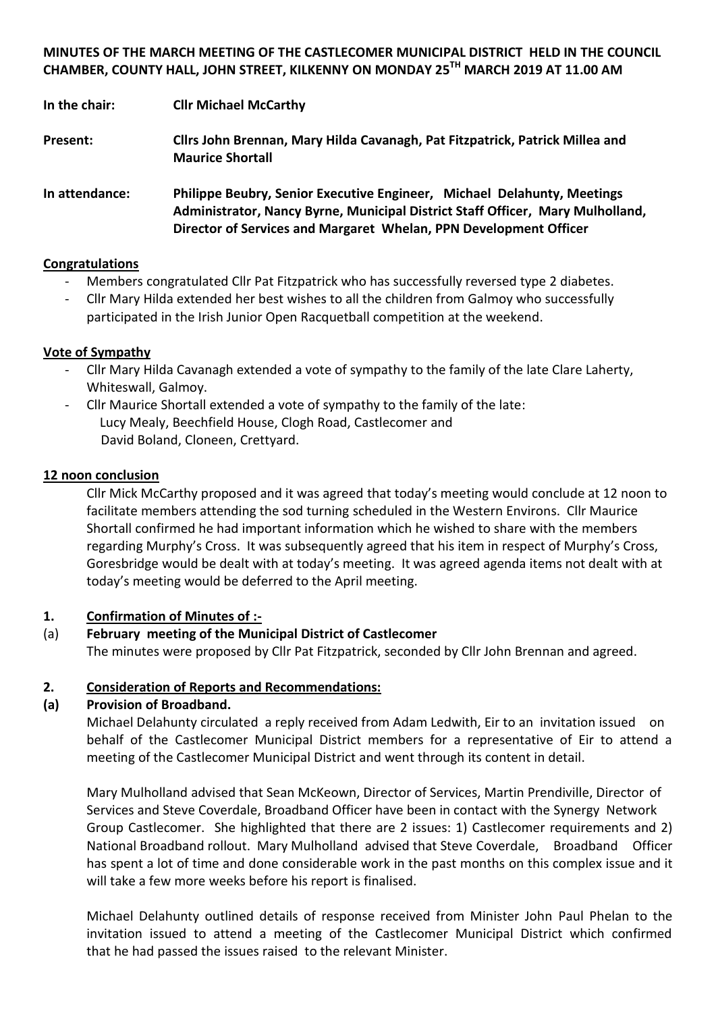**MINUTES OF THE MARCH MEETING OF THE CASTLECOMER MUNICIPAL DISTRICT HELD IN THE COUNCIL CHAMBER, COUNTY HALL, JOHN STREET, KILKENNY ON MONDAY 25TH MARCH 2019 AT 11.00 AM**

**In the chair: Cllr Michael McCarthy**

**Present: Cllrs John Brennan, Mary Hilda Cavanagh, Pat Fitzpatrick, Patrick Millea and Maurice Shortall**

**In attendance: Philippe Beubry, Senior Executive Engineer, Michael Delahunty, Meetings Administrator, Nancy Byrne, Municipal District Staff Officer, Mary Mulholland, Director of Services and Margaret Whelan, PPN Development Officer**

#### **Congratulations**

- Members congratulated Cllr Pat Fitzpatrick who has successfully reversed type 2 diabetes.
- Cllr Mary Hilda extended her best wishes to all the children from Galmoy who successfully participated in the Irish Junior Open Racquetball competition at the weekend.

#### **Vote of Sympathy**

- Cllr Mary Hilda Cavanagh extended a vote of sympathy to the family of the late Clare Laherty, Whiteswall, Galmoy.
- Cllr Maurice Shortall extended a vote of sympathy to the family of the late: Lucy Mealy, Beechfield House, Clogh Road, Castlecomer and David Boland, Cloneen, Crettyard.

#### **12 noon conclusion**

Cllr Mick McCarthy proposed and it was agreed that today's meeting would conclude at 12 noon to facilitate members attending the sod turning scheduled in the Western Environs. Cllr Maurice Shortall confirmed he had important information which he wished to share with the members regarding Murphy's Cross. It was subsequently agreed that his item in respect of Murphy's Cross, Goresbridge would be dealt with at today's meeting. It was agreed agenda items not dealt with at today's meeting would be deferred to the April meeting.

## **1. Confirmation of Minutes of :-**

## (a) **February meeting of the Municipal District of Castlecomer**

The minutes were proposed by Cllr Pat Fitzpatrick, seconded by Cllr John Brennan and agreed.

#### **2. Consideration of Reports and Recommendations:**

#### **(a) Provision of Broadband.**

Michael Delahunty circulated a reply received from Adam Ledwith, Eir to an invitation issued on behalf of the Castlecomer Municipal District members for a representative of Eir to attend a meeting of the Castlecomer Municipal District and went through its content in detail.

Mary Mulholland advised that Sean McKeown, Director of Services, Martin Prendiville, Director of Services and Steve Coverdale, Broadband Officer have been in contact with the Synergy Network Group Castlecomer. She highlighted that there are 2 issues: 1) Castlecomer requirements and 2) National Broadband rollout. Mary Mulholland advised that Steve Coverdale, Broadband Officer has spent a lot of time and done considerable work in the past months on this complex issue and it will take a few more weeks before his report is finalised.

Michael Delahunty outlined details of response received from Minister John Paul Phelan to the invitation issued to attend a meeting of the Castlecomer Municipal District which confirmed that he had passed the issues raised to the relevant Minister.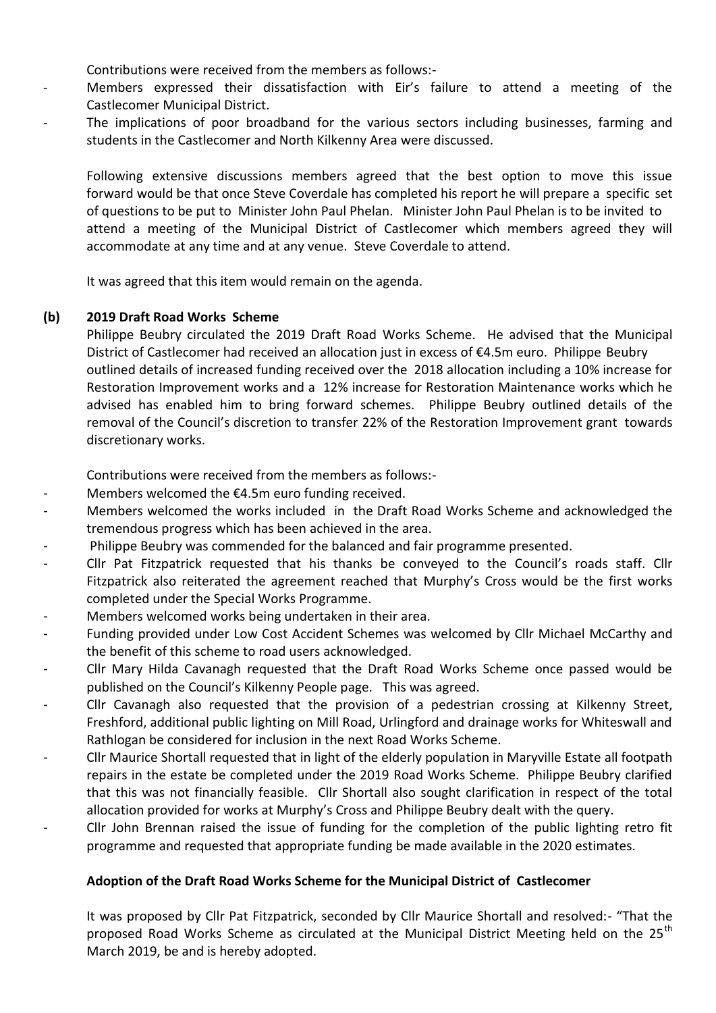Contributions were received from the members as follows:-

- Members expressed their dissatisfaction with Eir's failure to attend a meeting of the Castlecomer Municipal District.
- The implications of poor broadband for the various sectors including businesses, farming and students in the Castlecomer and North Kilkenny Area were discussed.

Following extensive discussions members agreed that the best option to move this issue forward would be that once Steve Coverdale has completed his report he will prepare a specific set of questions to be put to Minister John Paul Phelan. Minister John Paul Phelan is to be invited to attend a meeting of the Municipal District of Castlecomer which members agreed they will accommodate at any time and at any venue. Steve Coverdale to attend.

It was agreed that this item would remain on the agenda.

#### **(b) 2019 Draft Road Works Scheme**

Philippe Beubry circulated the 2019 Draft Road Works Scheme. He advised that the Municipal District of Castlecomer had received an allocation just in excess of €4.5m euro. Philippe Beubry outlined details of increased funding received over the 2018 allocation including a 10% increase for Restoration Improvement works and a 12% increase for Restoration Maintenance works which he advised has enabled him to bring forward schemes. Philippe Beubry outlined details of the removal of the Council's discretion to transfer 22% of the Restoration Improvement grant towards discretionary works.

Contributions were received from the members as follows:-

- Members welcomed the  $E4.5m$  euro funding received.
- Members welcomed the works included in the Draft Road Works Scheme and acknowledged the tremendous progress which has been achieved in the area.
- Philippe Beubry was commended for the balanced and fair programme presented.
- Cllr Pat Fitzpatrick requested that his thanks be conveyed to the Council's roads staff. Cllr Fitzpatrick also reiterated the agreement reached that Murphy's Cross would be the first works completed under the Special Works Programme.
- Members welcomed works being undertaken in their area.
- Funding provided under Low Cost Accident Schemes was welcomed by Cllr Michael McCarthy and the benefit of this scheme to road users acknowledged.
- Cllr Mary Hilda Cavanagh requested that the Draft Road Works Scheme once passed would be published on the Council's Kilkenny People page. This was agreed.
- Cllr Cavanagh also requested that the provision of a pedestrian crossing at Kilkenny Street, Freshford, additional public lighting on Mill Road, Urlingford and drainage works for Whiteswall and Rathlogan be considered for inclusion in the next Road Works Scheme.
- Cllr Maurice Shortall requested that in light of the elderly population in Maryville Estate all footpath repairs in the estate be completed under the 2019 Road Works Scheme. Philippe Beubry clarified that this was not financially feasible. Cllr Shortall also sought clarification in respect of the total allocation provided for works at Murphy's Cross and Philippe Beubry dealt with the query.
- Cllr John Brennan raised the issue of funding for the completion of the public lighting retro fit programme and requested that appropriate funding be made available in the 2020 estimates.

#### **Adoption of the Draft Road Works Scheme for the Municipal District of Castlecomer**

It was proposed by Cllr Pat Fitzpatrick, seconded by Cllr Maurice Shortall and resolved:- "That the proposed Road Works Scheme as circulated at the Municipal District Meeting held on the 25<sup>th</sup> March 2019, be and is hereby adopted.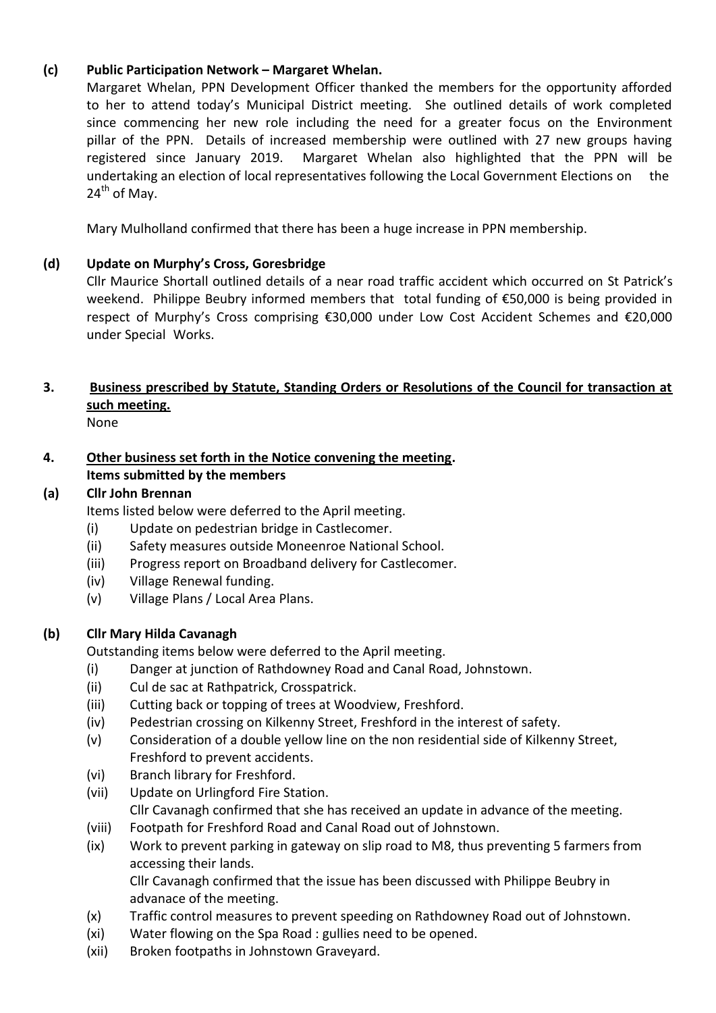# **(c) Public Participation Network – Margaret Whelan.**

Margaret Whelan, PPN Development Officer thanked the members for the opportunity afforded to her to attend today's Municipal District meeting. She outlined details of work completed since commencing her new role including the need for a greater focus on the Environment pillar of the PPN. Details of increased membership were outlined with 27 new groups having registered since January 2019. Margaret Whelan also highlighted that the PPN will be undertaking an election of local representatives following the Local Government Elections on the  $24<sup>th</sup>$  of May.

Mary Mulholland confirmed that there has been a huge increase in PPN membership.

## **(d) Update on Murphy's Cross, Goresbridge**

Cllr Maurice Shortall outlined details of a near road traffic accident which occurred on St Patrick's weekend. Philippe Beubry informed members that total funding of €50,000 is being provided in respect of Murphy's Cross comprising €30,000 under Low Cost Accident Schemes and €20,000 under Special Works.

# **3. Business prescribed by Statute, Standing Orders or Resolutions of the Council for transaction at such meeting.**

None

## **4. Other business set forth in the Notice convening the meeting. Items submitted by the members**

# **(a) Cllr John Brennan**

Items listed below were deferred to the April meeting.

- (i) Update on pedestrian bridge in Castlecomer.
- (ii) Safety measures outside Moneenroe National School.
- (iii) Progress report on Broadband delivery for Castlecomer.
- (iv) Village Renewal funding.
- (v) Village Plans / Local Area Plans.

## **(b) Cllr Mary Hilda Cavanagh**

Outstanding items below were deferred to the April meeting.

- (i) Danger at junction of Rathdowney Road and Canal Road, Johnstown.
- (ii) Cul de sac at Rathpatrick, Crosspatrick.
- (iii) Cutting back or topping of trees at Woodview, Freshford.
- (iv) Pedestrian crossing on Kilkenny Street, Freshford in the interest of safety.
- (v) Consideration of a double yellow line on the non residential side of Kilkenny Street, Freshford to prevent accidents.
- (vi) Branch library for Freshford.
- (vii) Update on Urlingford Fire Station. Cllr Cavanagh confirmed that she has received an update in advance of the meeting.
- (viii) Footpath for Freshford Road and Canal Road out of Johnstown.
- (ix) Work to prevent parking in gateway on slip road to M8, thus preventing 5 farmers from accessing their lands.

Cllr Cavanagh confirmed that the issue has been discussed with Philippe Beubry in advanace of the meeting.

- (x) Traffic control measures to prevent speeding on Rathdowney Road out of Johnstown.
- (xi) Water flowing on the Spa Road : gullies need to be opened.
- (xii) Broken footpaths in Johnstown Graveyard.